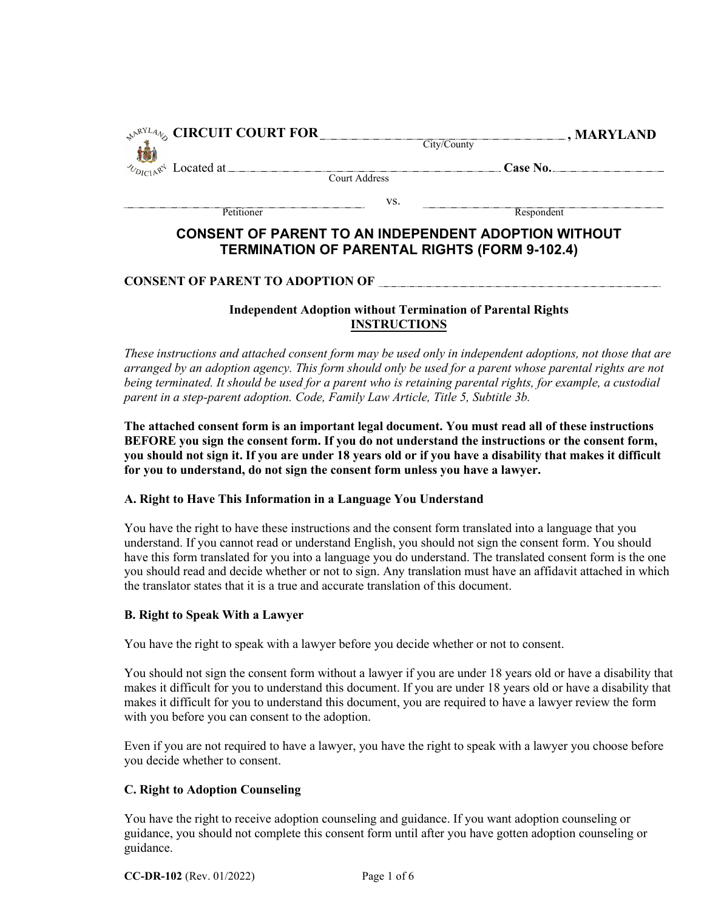| $\mathcal{P}^{\text{NRTL4}}$ CIRCUIT COURT FOR   |               | $\Box$ , MARYLAND<br>City/County                            |
|--------------------------------------------------|---------------|-------------------------------------------------------------|
| $\sim_{D_{\text{ICIA}}\mathbb{R}^4}$ Located at. | Court Address | Case No.                                                    |
| Petitioner                                       | VS.           | Respondent                                                  |
|                                                  |               | <b>CONSENT OF PARENT TO AN INDEPENDENT ADOPTION WITHOUT</b> |

# **TERMINATION OF PARENTAL RIGHTS (FORM 9-102.4)**

## **CONSENT OF PARENT TO ADOPTION OF**

# **Independent Adoption without Termination of Parental Rights INSTRUCTIONS**

*These instructions and attached consent form may be used only in independent adoptions, not those that are arranged by an adoption agency. This form should only be used for a parent whose parental rights are not being terminated. It should be used for a parent who is retaining parental rights, for example, a custodial parent in a step-parent adoption. Code, Family Law Article, Title 5, Subtitle 3b.* 

**The attached consent form is an important legal document. You must read all of these instructions BEFORE you sign the consent form. If you do not understand the instructions or the consent form, you should not sign it. If you are under 18 years old or if you have a disability that makes it difficult for you to understand, do not sign the consent form unless you have a lawyer.** 

## **A. Right to Have This Information in a Language You Understand**

You have the right to have these instructions and the consent form translated into a language that you understand. If you cannot read or understand English, you should not sign the consent form. You should have this form translated for you into a language you do understand. The translated consent form is the one you should read and decide whether or not to sign. Any translation must have an affidavit attached in which the translator states that it is a true and accurate translation of this document.

## **B. Right to Speak With a Lawyer**

You have the right to speak with a lawyer before you decide whether or not to consent.

You should not sign the consent form without a lawyer if you are under 18 years old or have a disability that makes it difficult for you to understand this document. If you are under 18 years old or have a disability that makes it difficult for you to understand this document, you are required to have a lawyer review the form with you before you can consent to the adoption.

Even if you are not required to have a lawyer, you have the right to speak with a lawyer you choose before you decide whether to consent.

# **C. Right to Adoption Counseling**

You have the right to receive adoption counseling and guidance. If you want adoption counseling or guidance, you should not complete this consent form until after you have gotten adoption counseling or guidance.

**CC-DR-102** (Rev. 01/2022) Page 1 of 6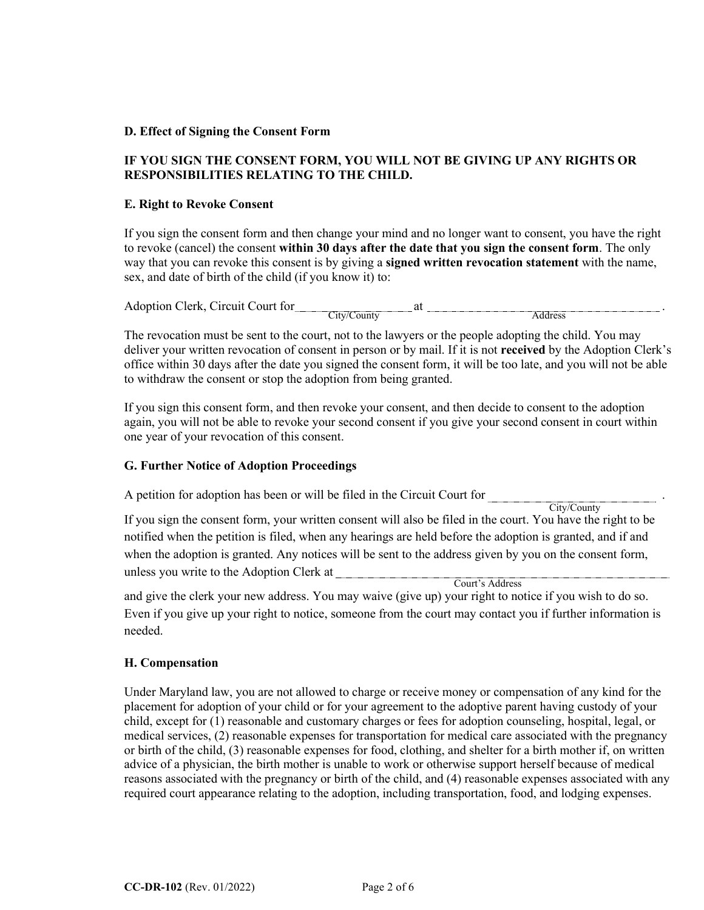## **D. Effect of Signing the Consent Form**

# **IF YOU SIGN THE CONSENT FORM, YOU WILL NOT BE GIVING UP ANY RIGHTS OR RESPONSIBILITIES RELATING TO THE CHILD.**

## **E. Right to Revoke Consent**

If you sign the consent form and then change your mind and no longer want to consent, you have the right to revoke (cancel) the consent **within 30 days after the date that you sign the consent form**. The only way that you can revoke this consent is by giving a **signed written revocation statement** with the name, sex, and date of birth of the child (if you know it) to:

| Arcuit.<br>Court for<br>Adoption C<br>:Terk | $\mathbf{a}$   |                    |
|---------------------------------------------|----------------|--------------------|
|                                             | 11V/<br>`ountv | $\triangle$ ddress |

The revocation must be sent to the court, not to the lawyers or the people adopting the child. You may deliver your written revocation of consent in person or by mail. If it is not **received** by the Adoption Clerk's office within 30 days after the date you signed the consent form, it will be too late, and you will not be able to withdraw the consent or stop the adoption from being granted.

If you sign this consent form, and then revoke your consent, and then decide to consent to the adoption again, you will not be able to revoke your second consent if you give your second consent in court within one year of your revocation of this consent.

## **G. Further Notice of Adoption Proceedings**

| A petition for adoption has been or will be filed in the Circuit Court for |             |
|----------------------------------------------------------------------------|-------------|
|                                                                            | City/County |

If you sign the consent form, your written consent will also be filed in the court. You have the right to be notified when the petition is filed, when any hearings are held before the adoption is granted, and if and when the adoption is granted. Any notices will be sent to the address given by you on the consent form, unless you write to the Adoption Clerk at

Court's Address

and give the clerk your new address. You may waive (give up) your right to notice if you wish to do so. Even if you give up your right to notice, someone from the court may contact you if further information is needed.

## **H. Compensation**

Under Maryland law, you are not allowed to charge or receive money or compensation of any kind for the placement for adoption of your child or for your agreement to the adoptive parent having custody of your child, except for (1) reasonable and customary charges or fees for adoption counseling, hospital, legal, or medical services, (2) reasonable expenses for transportation for medical care associated with the pregnancy or birth of the child, (3) reasonable expenses for food, clothing, and shelter for a birth mother if, on written advice of a physician, the birth mother is unable to work or otherwise support herself because of medical reasons associated with the pregnancy or birth of the child, and (4) reasonable expenses associated with any required court appearance relating to the adoption, including transportation, food, and lodging expenses.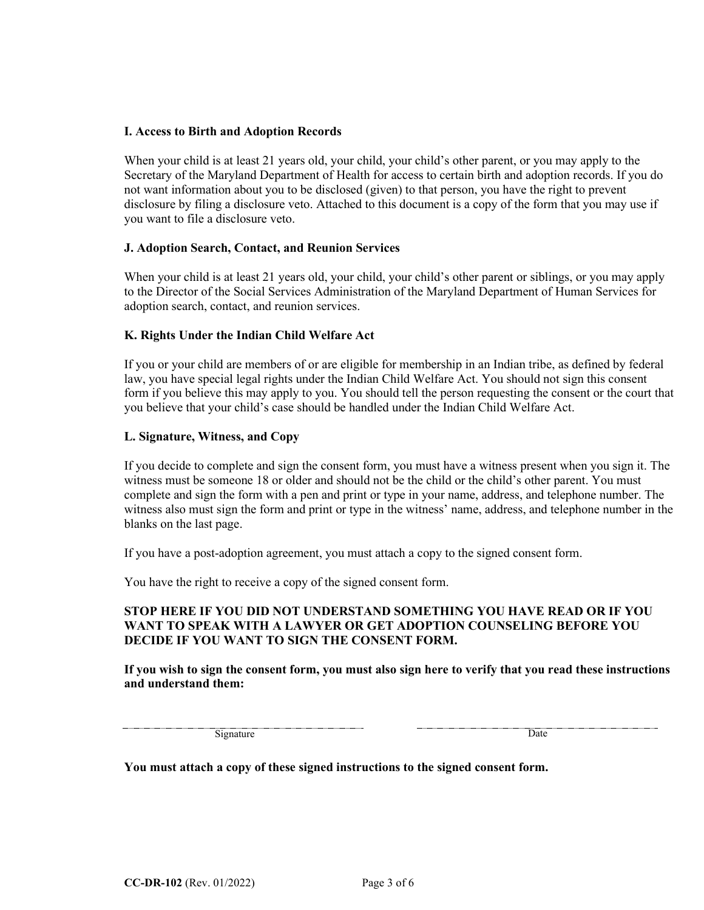## **I. Access to Birth and Adoption Records**

When your child is at least 21 years old, your child, your child's other parent, or you may apply to the Secretary of the Maryland Department of Health for access to certain birth and adoption records. If you do not want information about you to be disclosed (given) to that person, you have the right to prevent disclosure by filing a disclosure veto. Attached to this document is a copy of the form that you may use if you want to file a disclosure veto.

## **J. Adoption Search, Contact, and Reunion Services**

When your child is at least 21 years old, your child, your child's other parent or siblings, or you may apply to the Director of the Social Services Administration of the Maryland Department of Human Services for adoption search, contact, and reunion services.

## **K. Rights Under the Indian Child Welfare Act**

If you or your child are members of or are eligible for membership in an Indian tribe, as defined by federal law, you have special legal rights under the Indian Child Welfare Act. You should not sign this consent form if you believe this may apply to you. You should tell the person requesting the consent or the court that you believe that your child's case should be handled under the Indian Child Welfare Act.

## **L. Signature, Witness, and Copy**

If you decide to complete and sign the consent form, you must have a witness present when you sign it. The witness must be someone 18 or older and should not be the child or the child's other parent. You must complete and sign the form with a pen and print or type in your name, address, and telephone number. The witness also must sign the form and print or type in the witness' name, address, and telephone number in the blanks on the last page.

If you have a post-adoption agreement, you must attach a copy to the signed consent form.

You have the right to receive a copy of the signed consent form.

# **STOP HERE IF YOU DID NOT UNDERSTAND SOMETHING YOU HAVE READ OR IF YOU WANT TO SPEAK WITH A LAWYER OR GET ADOPTION COUNSELING BEFORE YOU DECIDE IF YOU WANT TO SIGN THE CONSENT FORM.**

**If you wish to sign the consent form, you must also sign here to verify that you read these instructions and understand them:**

Signature Date

**You must attach a copy of these signed instructions to the signed consent form.**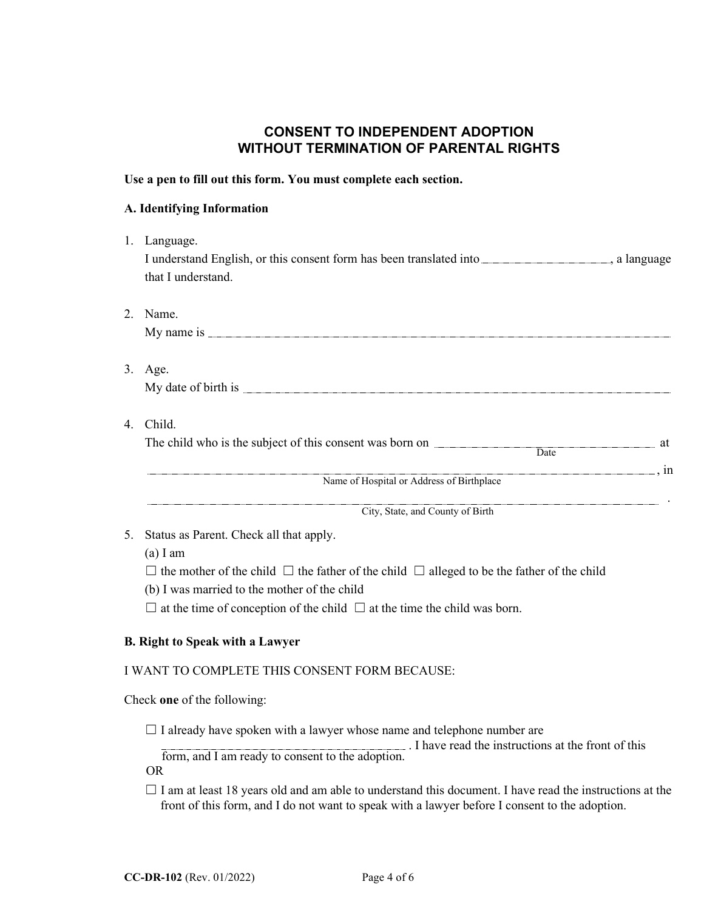# **CONSENT TO INDEPENDENT ADOPTION WITHOUT TERMINATION OF PARENTAL RIGHTS**

## **Use a pen to fill out this form. You must complete each section.**

## **A. Identifying Information**

- 1. Language. I understand English, or this consent form has been translated into , a language , a language that I understand. 2. Name. My name is  $\frac{1}{2}$  means if  $\frac{1}{2}$  means if  $\frac{1}{2}$  means if  $\frac{1}{2}$  means if  $\frac{1}{2}$  means if  $\frac{1}{2}$  means if  $\frac{1}{2}$  means if  $\frac{1}{2}$  means if  $\frac{1}{2}$  means if  $\frac{1}{2}$  means if  $\frac{1}{2}$  means if  $\$ 3. Age. My date of birth is 4. Child. The child who is the subject of this consent was born on **and all the child whole state** at , in . **Date** Name of Hospital or Address of Birthplace City, State, and County of Birth
- 5. Status as Parent. Check all that apply.

(a) I am

 $□$  the mother of the child  $□$  the father of the child  $□$  alleged to be the father of the child

(b) I was married to the mother of the child

 $\Box$  at the time of conception of the child  $\Box$  at the time the child was born.

## **B. Right to Speak with a Lawyer**

## I WANT TO COMPLETE THIS CONSENT FORM BECAUSE:

Check **one** of the following:

 $\Box$  I already have spoken with a lawyer whose name and telephone number are

. I have read the instructions at the front of this

form, and I am ready to consent to the adoption. OR

 $\Box$  I am at least 18 years old and am able to understand this document. I have read the instructions at the front of this form, and I do not want to speak with a lawyer before I consent to the adoption.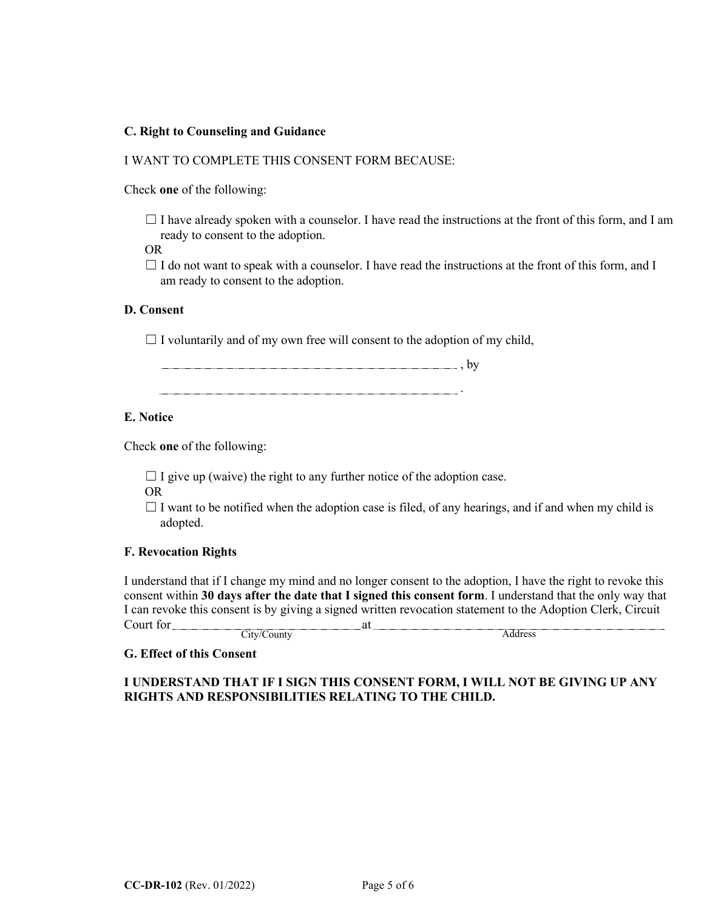## **C. Right to Counseling and Guidance**

## I WANT TO COMPLETE THIS CONSENT FORM BECAUSE:

Check **one** of the following:

 $\Box$  I have already spoken with a counselor. I have read the instructions at the front of this form, and I am ready to consent to the adoption.

OR

 $\Box$  I do not want to speak with a counselor. I have read the instructions at the front of this form, and I am ready to consent to the adoption.

## **D. Consent**

 $\Box$  I voluntarily and of my own free will consent to the adoption of my child,

**, by** , by

.

# **E. Notice**

Check **one** of the following:

 $\Box$  I give up (waive) the right to any further notice of the adoption case.

OR

 $\Box$  I want to be notified when the adoption case is filed, of any hearings, and if and when my child is adopted.

#### **F. Revocation Rights**

I understand that if I change my mind and no longer consent to the adoption, I have the right to revoke this consent within **30 days after the date that I signed this consent form**. I understand that the only way that I can revoke this consent is by giving a signed written revocation statement to the Adoption Clerk, Circuit Court for Court for

City/County Address

## **G. Effect of this Consent**

# **I UNDERSTAND THAT IF I SIGN THIS CONSENT FORM, I WILL NOT BE GIVING UP ANY RIGHTS AND RESPONSIBILITIES RELATING TO THE CHILD.**